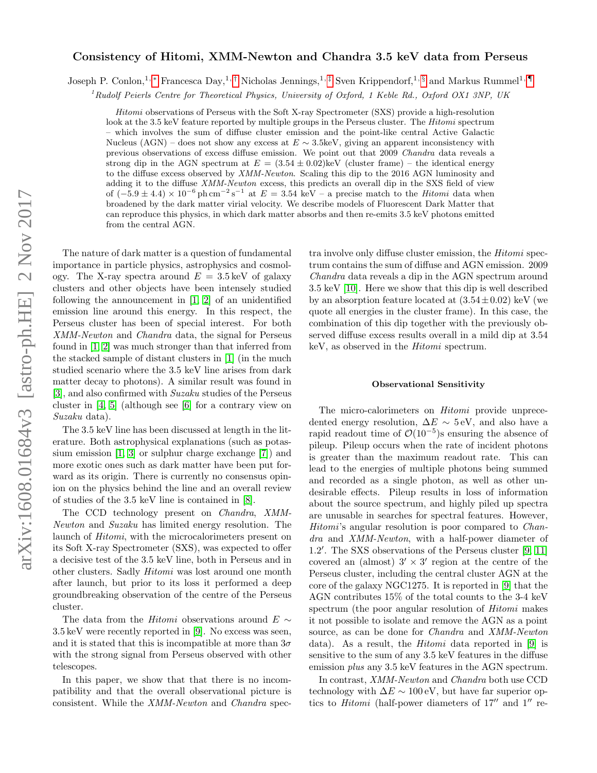# arXiv:1608.01684v3 [astro-ph.HE] 2 Nov 2017 arXiv:1608.01684v3 [astro-ph.HE] 2 Nov 2017

# Consistency of Hitomi, XMM-Newton and Chandra 3.5 keV data from Perseus

Joseph P. Conlon,<sup>1, \*</sup> Francesca Day,<sup>1,[†](#page-7-1)</sup> Nicholas Jennings,<sup>1,[‡](#page-7-2)</sup> Sven Krippendorf,<sup>1, [§](#page-7-3)</sup> and Markus Rummel<sup>1,</sup>

<sup>1</sup>Rudolf Peierls Centre for Theoretical Physics, University of Oxford, 1 Keble Rd., Oxford OX1 3NP, UK

Hitomi observations of Perseus with the Soft X-ray Spectrometer (SXS) provide a high-resolution look at the 3.5 keV feature reported by multiple groups in the Perseus cluster. The *Hitomi* spectrum – which involves the sum of diffuse cluster emission and the point-like central Active Galactic Nucleus (AGN) – does not show any excess at  $E \sim 3.5 \text{keV}$ , giving an apparent inconsistency with previous observations of excess diffuse emission. We point out that 2009 Chandra data reveals a strong dip in the AGN spectrum at  $E = (3.54 \pm 0.02)$ keV (cluster frame) – the identical energy to the diffuse excess observed by XMM-Newton. Scaling this dip to the 2016 AGN luminosity and adding it to the diffuse XMM-Newton excess, this predicts an overall dip in the SXS field of view of  $(-5.9 \pm 4.4) \times 10^{-6}$  ph cm<sup>-2</sup> s<sup>-1</sup> at  $E = 3.54$  keV – a precise match to the *Hitomi* data when broadened by the dark matter virial velocity. We describe models of Fluorescent Dark Matter that can reproduce this physics, in which dark matter absorbs and then re-emits 3.5 keV photons emitted from the central AGN.

The nature of dark matter is a question of fundamental importance in particle physics, astrophysics and cosmology. The X-ray spectra around  $E = 3.5 \,\text{keV}$  of galaxy clusters and other objects have been intensely studied following the announcement in [\[1,](#page-7-5) [2\]](#page-7-6) of an unidentified emission line around this energy. In this respect, the Perseus cluster has been of special interest. For both XMM-Newton and Chandra data, the signal for Perseus found in [\[1,](#page-7-5) [2\]](#page-7-6) was much stronger than that inferred from the stacked sample of distant clusters in [\[1\]](#page-7-5) (in the much studied scenario where the 3.5 keV line arises from dark matter decay to photons). A similar result was found in [\[3\]](#page-7-7), and also confirmed with Suzaku studies of the Perseus cluster in [\[4,](#page-7-8) [5\]](#page-7-9) (although see [\[6\]](#page-7-10) for a contrary view on Suzaku data).

The 3.5 keV line has been discussed at length in the literature. Both astrophysical explanations (such as potassium emission [\[1,](#page-7-5) [3\]](#page-7-7) or sulphur charge exchange [\[7\]](#page-7-11)) and more exotic ones such as dark matter have been put forward as its origin. There is currently no consensus opinion on the physics behind the line and an overall review of studies of the 3.5 keV line is contained in [\[8\]](#page-7-12).

The CCD technology present on Chandra, XMM-Newton and Suzaku has limited energy resolution. The launch of Hitomi, with the microcalorimeters present on its Soft X-ray Spectrometer (SXS), was expected to offer a decisive test of the 3.5 keV line, both in Perseus and in other clusters. Sadly Hitomi was lost around one month after launch, but prior to its loss it performed a deep groundbreaking observation of the centre of the Perseus cluster.

The data from the *Hitomi* observations around  $E \sim$ 3.5 keV were recently reported in [\[9\]](#page-7-13). No excess was seen, and it is stated that this is incompatible at more than  $3\sigma$ with the strong signal from Perseus observed with other telescopes.

In this paper, we show that that there is no incompatibility and that the overall observational picture is consistent. While the XMM-Newton and Chandra spec-

tra involve only diffuse cluster emission, the Hitomi spectrum contains the sum of diffuse and AGN emission. 2009 Chandra data reveals a dip in the AGN spectrum around 3.5 keV [\[10\]](#page-7-14). Here we show that this dip is well described by an absorption feature located at  $(3.54 \pm 0.02)$  keV (we quote all energies in the cluster frame). In this case, the combination of this dip together with the previously observed diffuse excess results overall in a mild dip at 3.54 keV, as observed in the Hitomi spectrum.

### Observational Sensitivity

The micro-calorimeters on Hitomi provide unprecedented energy resolution,  $\Delta E \sim 5$  eV, and also have a rapid readout time of  $\mathcal{O}(10^{-5})$ s ensuring the absence of pileup. Pileup occurs when the rate of incident photons is greater than the maximum readout rate. This can lead to the energies of multiple photons being summed and recorded as a single photon, as well as other undesirable effects. Pileup results in loss of information about the source spectrum, and highly piled up spectra are unusable in searches for spectral features. However, Hitomi's angular resolution is poor compared to *Chan*dra and XMM-Newton, with a half-power diameter of 1.2'. The SXS observations of the Perseus cluster [\[9,](#page-7-13) [11\]](#page-7-15) covered an (almost)  $3' \times 3'$  region at the centre of the Perseus cluster, including the central cluster AGN at the core of the galaxy NGC1275. It is reported in [\[9\]](#page-7-13) that the AGN contributes 15% of the total counts to the 3-4 keV spectrum (the poor angular resolution of Hitomi makes it not possible to isolate and remove the AGN as a point source, as can be done for Chandra and XMM-Newton data). As a result, the Hitomi data reported in [\[9\]](#page-7-13) is sensitive to the sum of any 3.5 keV features in the diffuse emission *plus* any 3.5 keV features in the AGN spectrum.

In contrast, XMM-Newton and Chandra both use CCD technology with  $\Delta E \sim 100 \text{ eV}$ , but have far superior optics to *Hitomi* (half-power diameters of  $17''$  and  $1''$  re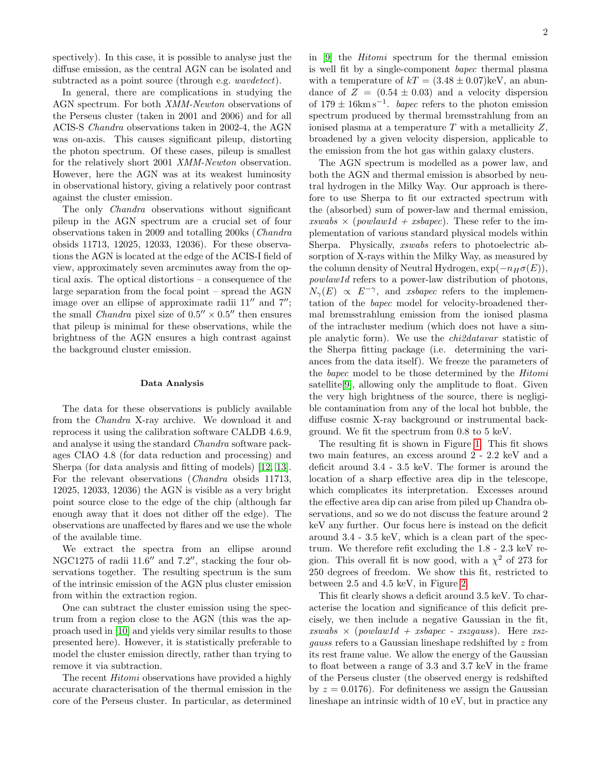spectively). In this case, it is possible to analyse just the diffuse emission, as the central AGN can be isolated and subtracted as a point source (through e.g. *wavdetect*).

In general, there are complications in studying the AGN spectrum. For both XMM-Newton observations of the Perseus cluster (taken in 2001 and 2006) and for all ACIS-S Chandra observations taken in 2002-4, the AGN was on-axis. This causes significant pileup, distorting the photon spectrum. Of these cases, pileup is smallest for the relatively short 2001 XMM-Newton observation. However, here the AGN was at its weakest luminosity in observational history, giving a relatively poor contrast against the cluster emission.

The only *Chandra* observations without significant pileup in the AGN spectrum are a crucial set of four observations taken in 2009 and totalling 200ks (Chandra obsids 11713, 12025, 12033, 12036). For these observations the AGN is located at the edge of the ACIS-I field of view, approximately seven arcminutes away from the optical axis. The optical distortions – a consequence of the large separation from the focal point – spread the AGN image over an ellipse of approximate radii  $11''$  and  $7''$ ; the small *Chandra* pixel size of  $0.5'' \times 0.5''$  then ensures that pileup is minimal for these observations, while the brightness of the AGN ensures a high contrast against the background cluster emission.

### Data Analysis

The data for these observations is publicly available from the Chandra X-ray archive. We download it and reprocess it using the calibration software CALDB 4.6.9, and analyse it using the standard Chandra software packages CIAO 4.8 (for data reduction and processing) and Sherpa (for data analysis and fitting of models) [\[12,](#page-7-16) [13\]](#page-7-17). For the relevant observations (Chandra obsids 11713, 12025, 12033, 12036) the AGN is visible as a very bright point source close to the edge of the chip (although far enough away that it does not dither off the edge). The observations are unaffected by flares and we use the whole of the available time.

We extract the spectra from an ellipse around NGC1275 of radii 11.6" and 7.2", stacking the four observations together. The resulting spectrum is the sum of the intrinsic emission of the AGN plus cluster emission from within the extraction region.

One can subtract the cluster emission using the spectrum from a region close to the AGN (this was the approach used in [\[10\]](#page-7-14) and yields very similar results to those presented here). However, it is statistically preferable to model the cluster emission directly, rather than trying to remove it via subtraction.

The recent *Hitomi* observations have provided a highly accurate characterisation of the thermal emission in the core of the Perseus cluster. In particular, as determined in [\[9\]](#page-7-13) the Hitomi spectrum for the thermal emission is well fit by a single-component bapec thermal plasma with a temperature of  $kT = (3.48 \pm 0.07)$ keV, an abundance of  $Z = (0.54 \pm 0.03)$  and a velocity dispersion of  $179 \pm 16 \text{km s}^{-1}$ . *bapec* refers to the photon emission spectrum produced by thermal bremsstrahlung from an ionised plasma at a temperature  $T$  with a metallicity  $Z$ , broadened by a given velocity dispersion, applicable to the emission from the hot gas within galaxy clusters.

The AGN spectrum is modelled as a power law, and both the AGN and thermal emission is absorbed by neutral hydrogen in the Milky Way. Our approach is therefore to use Sherpa to fit our extracted spectrum with the (absorbed) sum of power-law and thermal emission, xswabs  $\times$  (powlaw1d + xsbapec). These refer to the implementation of various standard physical models within Sherpa. Physically, xswabs refers to photoelectric absorption of X-rays within the Milky Way, as measured by the column density of Neutral Hydrogen,  $\exp(-n_H\sigma(E)),$ powlaw1d refers to a power-law distribution of photons,  $N_{\gamma}(E) \propto E^{-\gamma}$ , and *xsbapec* refers to the implementation of the bapec model for velocity-broadened thermal bremsstrahlung emission from the ionised plasma of the intracluster medium (which does not have a simple analytic form). We use the chi2datavar statistic of the Sherpa fitting package (i.e. determining the variances from the data itself). We freeze the parameters of the bapec model to be those determined by the Hitomi satellite<sup>[\[9\]](#page-7-13)</sup>, allowing only the amplitude to float. Given the very high brightness of the source, there is negligible contamination from any of the local hot bubble, the diffuse cosmic X-ray background or instrumental background. We fit the spectrum from 0.8 to 5 keV.

The resulting fit is shown in Figure [1.](#page-2-0) This fit shows two main features, an excess around 2 - 2.2 keV and a deficit around 3.4 - 3.5 keV. The former is around the location of a sharp effective area dip in the telescope, which complicates its interpretation. Excesses around the effective area dip can arise from piled up Chandra observations, and so we do not discuss the feature around 2 keV any further. Our focus here is instead on the deficit around 3.4 - 3.5 keV, which is a clean part of the spectrum. We therefore refit excluding the 1.8 - 2.3 keV region. This overall fit is now good, with a  $\chi^2$  of 273 for 250 degrees of freedom. We show this fit, restricted to between 2.5 and 4.5 keV, in Figure [2.](#page-2-1)

This fit clearly shows a deficit around 3.5 keV. To characterise the location and significance of this deficit precisely, we then include a negative Gaussian in the fit,  $xswabs \times (powlaw1d + xsbapec - xszgauss)$ . Here  $xsz$ gauss refers to a Gaussian lineshape redshifted by z from its rest frame value. We allow the energy of the Gaussian to float between a range of 3.3 and 3.7 keV in the frame of the Perseus cluster (the observed energy is redshifted by  $z = 0.0176$ . For definiteness we assign the Gaussian lineshape an intrinsic width of 10 eV, but in practice any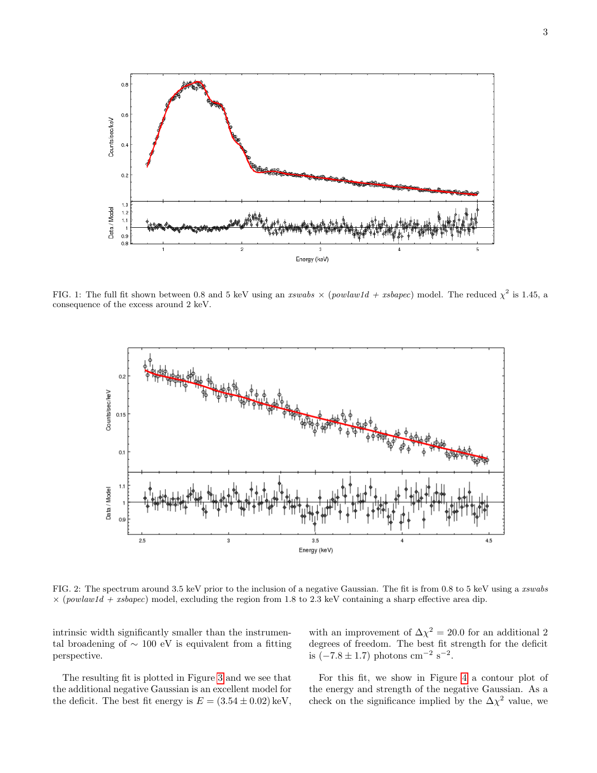

<span id="page-2-0"></span>FIG. 1: The full fit shown between 0.8 and 5 keV using an xswabs  $\times$  (powlaw1d + xsbapec) model. The reduced  $\chi^2$  is 1.45, a consequence of the excess around 2 keV.



<span id="page-2-1"></span>FIG. 2: The spectrum around 3.5 keV prior to the inclusion of a negative Gaussian. The fit is from 0.8 to 5 keV using a xswabs  $\times$  (powlaw1d + xsbapec) model, excluding the region from 1.8 to 2.3 keV containing a sharp effective area dip.

intrinsic width significantly smaller than the instrumental broadening of  $\sim 100$  eV is equivalent from a fitting perspective.

The resulting fit is plotted in Figure [3](#page-3-0) and we see that the additional negative Gaussian is an excellent model for the deficit. The best fit energy is  $E = (3.54 \pm 0.02) \,\text{keV}$ ,

with an improvement of  $\Delta \chi^2 = 20.0$  for an additional 2 degrees of freedom. The best fit strength for the deficit is  $(-7.8 \pm 1.7)$  photons cm<sup>-2</sup> s<sup>-2</sup>.

For this fit, we show in Figure [4](#page-3-1) a contour plot of the energy and strength of the negative Gaussian. As a check on the significance implied by the  $\Delta \chi^2$  value, we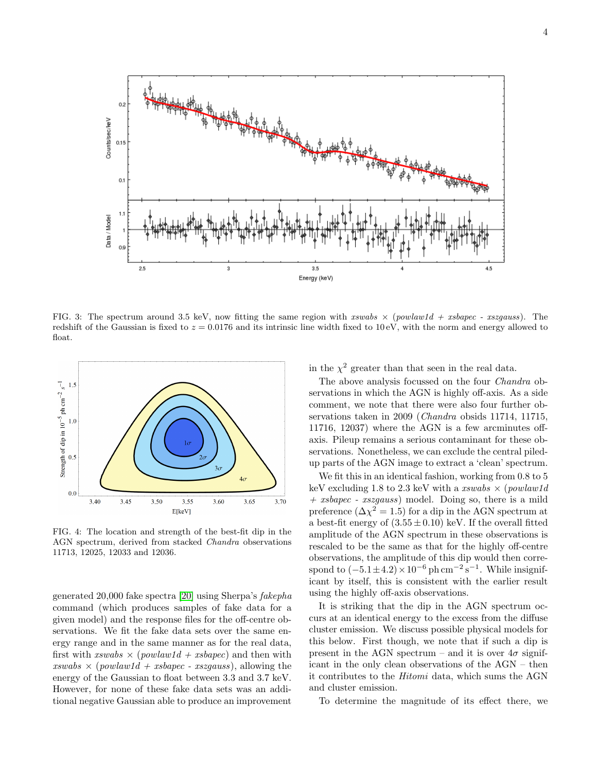

<span id="page-3-0"></span>FIG. 3: The spectrum around 3.5 keV, now fitting the same region with xswabs  $\times$  (powlaw1d + xsbapec - xszgauss). The redshift of the Gaussian is fixed to  $z = 0.0176$  and its intrinsic line width fixed to 10 eV, with the norm and energy allowed to float.



<span id="page-3-1"></span>FIG. 4: The location and strength of the best-fit dip in the AGN spectrum, derived from stacked Chandra observations 11713, 12025, 12033 and 12036.

generated 20,000 fake spectra [\[20\]](#page-7-18) using Sherpa's fakepha command (which produces samples of fake data for a given model) and the response files for the off-centre observations. We fit the fake data sets over the same energy range and in the same manner as for the real data, first with  $xswabs \times (powlaw1d + xsbapec)$  and then with  $xswabs \times (powlaw1d + xsbapec - xszgauss)$ , allowing the energy of the Gaussian to float between 3.3 and 3.7 keV. However, for none of these fake data sets was an additional negative Gaussian able to produce an improvement

in the  $\chi^2$  greater than that seen in the real data.

The above analysis focussed on the four Chandra observations in which the AGN is highly off-axis. As a side comment, we note that there were also four further observations taken in 2009 (Chandra obsids 11714, 11715, 11716, 12037) where the AGN is a few arcminutes offaxis. Pileup remains a serious contaminant for these observations. Nonetheless, we can exclude the central piledup parts of the AGN image to extract a 'clean' spectrum.

We fit this in an identical fashion, working from 0.8 to 5 keV excluding 1.8 to 2.3 keV with a xswabs  $\times$  (powlaw1d) + xsbapec - xszgauss) model. Doing so, there is a mild preference  $(\Delta \chi^2 = 1.5)$  for a dip in the AGN spectrum at a best-fit energy of  $(3.55 \pm 0.10)$  keV. If the overall fitted amplitude of the AGN spectrum in these observations is rescaled to be the same as that for the highly off-centre observations, the amplitude of this dip would then correspond to  $(-5.1 \pm 4.2) \times 10^{-6}$  ph cm<sup>-2</sup> s<sup>-1</sup>. While insignificant by itself, this is consistent with the earlier result using the highly off-axis observations.

It is striking that the dip in the AGN spectrum occurs at an identical energy to the excess from the diffuse cluster emission. We discuss possible physical models for this below. First though, we note that if such a dip is present in the AGN spectrum – and it is over  $4\sigma$  significant in the only clean observations of the AGN – then it contributes to the Hitomi data, which sums the AGN and cluster emission.

To determine the magnitude of its effect there, we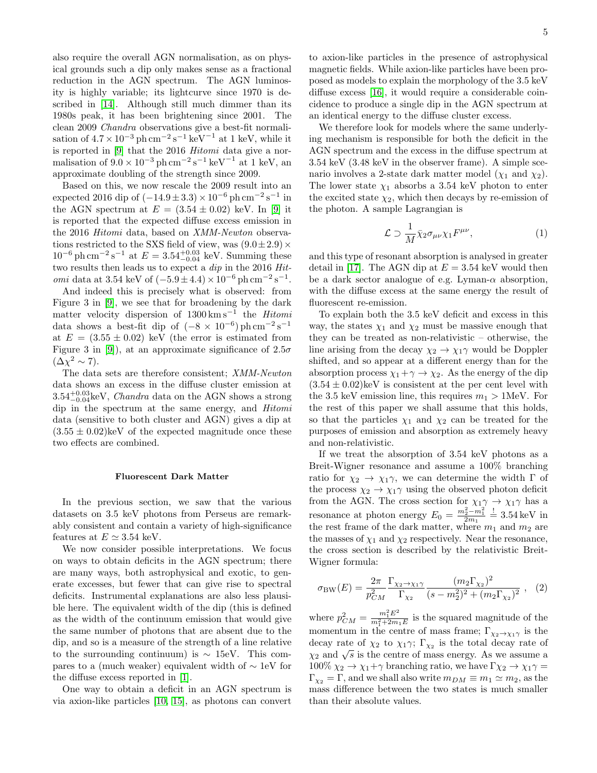also require the overall AGN normalisation, as on physical grounds such a dip only makes sense as a fractional reduction in the AGN spectrum. The AGN luminosity is highly variable; its lightcurve since 1970 is described in [\[14\]](#page-7-19). Although still much dimmer than its 1980s peak, it has been brightening since 2001. The clean 2009 Chandra observations give a best-fit normalisation of  $4.7 \times 10^{-3}$  ph cm<sup>-2</sup> s<sup>-1</sup> keV<sup>-1</sup> at 1 keV, while it is reported in [\[9\]](#page-7-13) that the 2016 Hitomi data give a normalisation of  $9.0 \times 10^{-3}$  ph cm<sup>-2</sup> s<sup>-1</sup> keV<sup>-1</sup> at 1 keV, an approximate doubling of the strength since 2009.

Based on this, we now rescale the 2009 result into an expected 2016 dip of  $(-14.9 \pm 3.3) \times 10^{-6}$  ph cm<sup>-2</sup> s<sup>-1</sup> in the AGN spectrum at  $E = (3.54 \pm 0.02)$  keV. In [\[9\]](#page-7-13) it is reported that the expected diffuse excess emission in the 2016 Hitomi data, based on XMM-Newton observations restricted to the SXS field of view, was  $(9.0 \pm 2.9) \times$  $10^{-6}$  ph cm<sup>-2</sup> s<sup>-1</sup> at  $E = 3.54_{-0.04}^{+0.03}$  keV. Summing these two results then leads us to expect a  $dip$  in the 2016  $Hit$ omi data at 3.54 keV of  $(-5.9 \pm 4.4) \times 10^{-6}$  ph cm<sup>-2</sup> s<sup>-1</sup>.

And indeed this is precisely what is observed: from Figure 3 in [\[9\]](#page-7-13), we see that for broadening by the dark matter velocity dispersion of  $1300 \text{ km s}^{-1}$  the Hitomi data shows a best-fit dip of  $(-8 \times 10^{-6})$  ph cm<sup>-2</sup> s<sup>-1</sup> at  $E = (3.55 \pm 0.02)$  keV (the error is estimated from Figure 3 in [\[9\]](#page-7-13)), at an approximate significance of  $2.5\sigma$  $(\Delta \chi^2 \sim 7)$ .

The data sets are therefore consistent; XMM-Newton data shows an excess in the diffuse cluster emission at  $3.54^{+0.03}_{-0.04}$ keV, *Chandra* data on the AGN shows a strong dip in the spectrum at the same energy, and Hitomi data (sensitive to both cluster and AGN) gives a dip at  $(3.55 \pm 0.02)$ keV of the expected magnitude once these two effects are combined.

# Fluorescent Dark Matter

In the previous section, we saw that the various datasets on 3.5 keV photons from Perseus are remarkably consistent and contain a variety of high-significance features at  $E \simeq 3.54$  keV.

We now consider possible interpretations. We focus on ways to obtain deficits in the AGN spectrum; there are many ways, both astrophysical and exotic, to generate excesses, but fewer that can give rise to spectral deficits. Instrumental explanations are also less plausible here. The equivalent width of the dip (this is defined as the width of the continuum emission that would give the same number of photons that are absent due to the dip, and so is a measure of the strength of a line relative to the surrounding continuum) is  $\sim 15$ eV. This compares to a (much weaker) equivalent width of ∼ 1eV for the diffuse excess reported in [\[1\]](#page-7-5).

One way to obtain a deficit in an AGN spectrum is via axion-like particles [\[10,](#page-7-14) [15\]](#page-7-20), as photons can convert

to axion-like particles in the presence of astrophysical magnetic fields. While axion-like particles have been proposed as models to explain the morphology of the 3.5 keV diffuse excess [\[16\]](#page-7-21), it would require a considerable coincidence to produce a single dip in the AGN spectrum at an identical energy to the diffuse cluster excess.

We therefore look for models where the same underlying mechanism is responsible for both the deficit in the AGN spectrum and the excess in the diffuse spectrum at 3.54 keV (3.48 keV in the observer frame). A simple scenario involves a 2-state dark matter model  $(\chi_1 \text{ and } \chi_2)$ . The lower state  $\chi_1$  absorbs a 3.54 keV photon to enter the excited state  $\chi_2$ , which then decays by re-emission of the photon. A sample Lagrangian is

$$
\mathcal{L} \supset \frac{1}{M} \bar{\chi}_2 \sigma_{\mu\nu} \chi_1 F^{\mu\nu},\tag{1}
$$

and this type of resonant absorption is analysed in greater detail in [\[17\]](#page-7-22). The AGN dip at  $E = 3.54$  keV would then be a dark sector analogue of e.g. Lyman- $\alpha$  absorption, with the diffuse excess at the same energy the result of fluorescent re-emission.

To explain both the 3.5 keV deficit and excess in this way, the states  $\chi_1$  and  $\chi_2$  must be massive enough that they can be treated as non-relativistic – otherwise, the line arising from the decay  $\chi_2 \to \chi_1 \gamma$  would be Doppler shifted, and so appear at a different energy than for the absorption process  $\chi_1 + \gamma \to \chi_2$ . As the energy of the dip  $(3.54 \pm 0.02)$ keV is consistent at the per cent level with the 3.5 keV emission line, this requires  $m_1 > 1$ MeV. For the rest of this paper we shall assume that this holds, so that the particles  $\chi_1$  and  $\chi_2$  can be treated for the purposes of emission and absorption as extremely heavy and non-relativistic.

If we treat the absorption of 3.54 keV photons as a Breit-Wigner resonance and assume a 100% branching ratio for  $\chi_2 \to \chi_1 \gamma$ , we can determine the width  $\Gamma$  of the process  $\chi_2 \to \chi_1 \gamma$  using the observed photon deficit from the AGN. The cross section for  $\chi_1 \gamma \to \chi_1 \gamma$  has a resonance at photon energy  $E_0 = \frac{m_2^2 - m_1^2}{2m_1} \stackrel{!}{=} 3.54 \,\text{keV}$  in the rest frame of the dark matter, where  $m_1$  and  $m_2$  are the masses of  $\chi_1$  and  $\chi_2$  respectively. Near the resonance, the cross section is described by the relativistic Breit-Wigner formula:

$$
\sigma_{\rm BW}(E) = \frac{2\pi}{p_{CM}^2} \frac{\Gamma_{\chi_2 \to \chi_1 \gamma}}{\Gamma_{\chi_2}} \frac{(m_2 \Gamma_{\chi_2})^2}{(s - m_2^2)^2 + (m_2 \Gamma_{\chi_2})^2} , \quad (2)
$$

where  $p_{CM}^2 = \frac{m_1^2 E^2}{m_1^2 + 2m}$  $\frac{m_1 E}{m_1^2 + 2m_1 E}$  is the squared magnitude of the momentum in the centre of mass frame;  $\Gamma_{\chi_2 \to \chi_1 \gamma}$  is the decay rate of  $\chi_2$  to  $\chi_1 \gamma$ ;  $\Gamma_{\chi_2}$  is the total decay rate of  $\chi_2$  and  $\sqrt{s}$  is the centre of mass energy. As we assume a  $100\% \chi_2 \to \chi_1 + \gamma$  branching ratio, we have  $\Gamma \chi_2 \to \chi_1 \gamma =$  $\Gamma_{\chi_2} = \Gamma$ , and we shall also write  $m_{DM} \equiv m_1 \simeq m_2$ , as the mass difference between the two states is much smaller than their absolute values.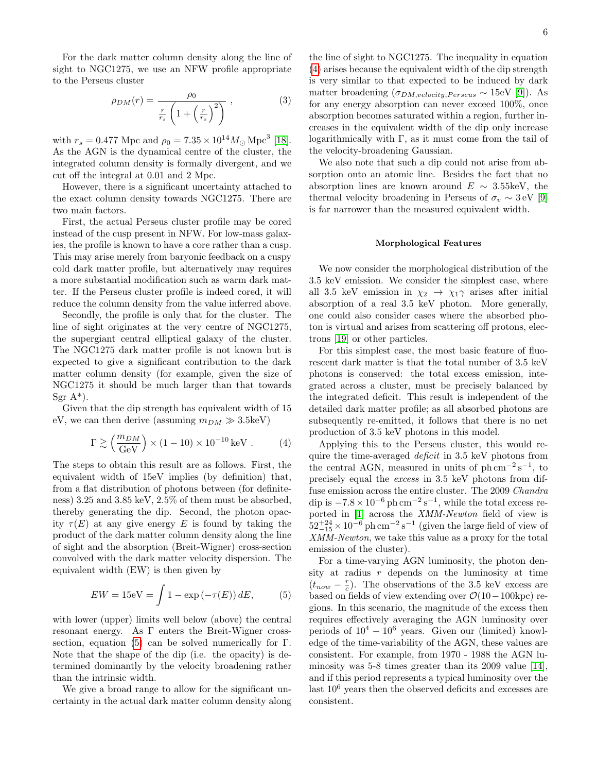For the dark matter column density along the line of sight to NGC1275, we use an NFW profile appropriate to the Perseus cluster

$$
\rho_{DM}(r) = \frac{\rho_0}{\frac{r}{r_s} \left(1 + \left(\frac{r}{r_s}\right)^2\right)} ,\qquad (3)
$$

with  $r_s = 0.477$  Mpc and  $\rho_0 = 7.35 \times 10^{14} M_{\odot}$  Mpc<sup>3</sup> [\[18\]](#page-7-23). As the AGN is the dynamical centre of the cluster, the integrated column density is formally divergent, and we cut off the integral at 0.01 and 2 Mpc.

However, there is a significant uncertainty attached to the exact column density towards NGC1275. There are two main factors.

First, the actual Perseus cluster profile may be cored instead of the cusp present in NFW. For low-mass galaxies, the profile is known to have a core rather than a cusp. This may arise merely from baryonic feedback on a cuspy cold dark matter profile, but alternatively may requires a more substantial modification such as warm dark matter. If the Perseus cluster profile is indeed cored, it will reduce the column density from the value inferred above.

Secondly, the profile is only that for the cluster. The line of sight originates at the very centre of NGC1275, the supergiant central elliptical galaxy of the cluster. The NGC1275 dark matter profile is not known but is expected to give a significant contribution to the dark matter column density (for example, given the size of NGC1275 it should be much larger than that towards Sgr  $A^*$ ).

Given that the dip strength has equivalent width of 15 eV, we can then derive (assuming  $m_{DM} \gg 3.5 \text{keV}$ )

<span id="page-5-1"></span>
$$
\Gamma \gtrsim \left(\frac{m_{DM}}{\text{GeV}}\right) \times (1 - 10) \times 10^{-10} \,\text{keV} \,. \tag{4}
$$

The steps to obtain this result are as follows. First, the equivalent width of 15eV implies (by definition) that, from a flat distribution of photons between (for definiteness) 3.25 and 3.85 keV, 2.5% of them must be absorbed, thereby generating the dip. Second, the photon opacity  $\tau(E)$  at any give energy E is found by taking the product of the dark matter column density along the line of sight and the absorption (Breit-Wigner) cross-section convolved with the dark matter velocity dispersion. The equivalent width (EW) is then given by

<span id="page-5-0"></span>
$$
EW = 15 \text{eV} = \int 1 - \exp\left(-\tau(E)\right) dE, \tag{5}
$$

with lower (upper) limits well below (above) the central resonant energy. As Γ enters the Breit-Wigner cross-section, equation [\(5\)](#page-5-0) can be solved numerically for  $\Gamma$ . Note that the shape of the dip (i.e. the opacity) is determined dominantly by the velocity broadening rather than the intrinsic width.

We give a broad range to allow for the significant uncertainty in the actual dark matter column density along

the line of sight to NGC1275. The inequality in equation [\(4\)](#page-5-1) arises because the equivalent width of the dip strength is very similar to that expected to be induced by dark matter broadening  $(\sigma_{DM,velocity,Perseus} \sim 15$ eV [\[9\]](#page-7-13)). As for any energy absorption can never exceed 100%, once absorption becomes saturated within a region, further increases in the equivalent width of the dip only increase logarithmically with Γ, as it must come from the tail of the velocity-broadening Gaussian.

We also note that such a dip could not arise from absorption onto an atomic line. Besides the fact that no absorption lines are known around  $E \sim 3.55 \text{keV}$ , the thermal velocity broadening in Perseus of  $\sigma_v \sim 3 \text{ eV}$  [\[9\]](#page-7-13) is far narrower than the measured equivalent width.

### Morphological Features

We now consider the morphological distribution of the 3.5 keV emission. We consider the simplest case, where all 3.5 keV emission in  $\chi_2 \rightarrow \chi_1 \gamma$  arises after initial absorption of a real 3.5 keV photon. More generally, one could also consider cases where the absorbed photon is virtual and arises from scattering off protons, electrons [\[19\]](#page-7-24) or other particles.

For this simplest case, the most basic feature of fluorescent dark matter is that the total number of 3.5 keV photons is conserved: the total excess emission, integrated across a cluster, must be precisely balanced by the integrated deficit. This result is independent of the detailed dark matter profile; as all absorbed photons are subsequently re-emitted, it follows that there is no net production of 3.5 keV photons in this model.

Applying this to the Perseus cluster, this would require the time-averaged deficit in 3.5 keV photons from the central AGN, measured in units of  $ph \, \text{cm}^{-2} \, \text{s}^{-1}$ , to precisely equal the excess in 3.5 keV photons from diffuse emission across the entire cluster. The 2009 Chandra dip is  $-7.8 \times 10^{-6}$  ph cm<sup>-2</sup> s<sup>-1</sup>, while the total excess re-ported in [\[1\]](#page-7-5) across the *XMM-Newton* field of view is  $52^{+24}_{-15} \times 10^{-6}$  ph cm<sup>-2</sup> s<sup>-1</sup> (given the large field of view of XMM-Newton, we take this value as a proxy for the total emission of the cluster).

For a time-varying AGN luminosity, the photon density at radius  $r$  depends on the luminosity at time  $(t_{now} - \frac{r}{c})$ . The observations of the 3.5 keV excess are based on fields of view extending over  $\mathcal{O}(10-100\text{kpc})$  regions. In this scenario, the magnitude of the excess then requires effectively averaging the AGN luminosity over periods of  $10^4 - 10^6$  years. Given our (limited) knowledge of the time-variability of the AGN, these values are consistent. For example, from 1970 - 1988 the AGN luminosity was 5-8 times greater than its 2009 value [\[14\]](#page-7-19), and if this period represents a typical luminosity over the last 10<sup>6</sup> years then the observed deficits and excesses are consistent.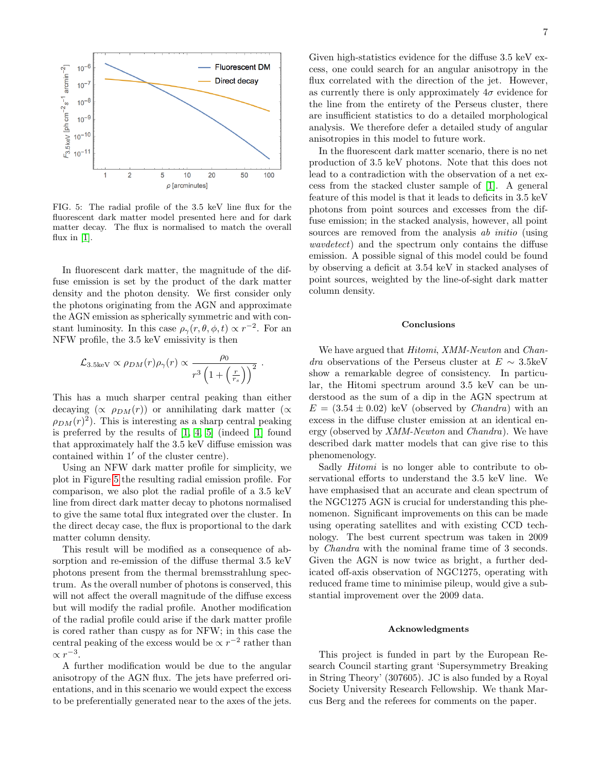

<span id="page-6-0"></span>FIG. 5: The radial profile of the 3.5 keV line flux for the fluorescent dark matter model presented here and for dark matter decay. The flux is normalised to match the overall flux in  $[1]$ .

In fluorescent dark matter, the magnitude of the diffuse emission is set by the product of the dark matter density and the photon density. We first consider only the photons originating from the AGN and approximate the AGN emission as spherically symmetric and with constant luminosity. In this case  $\rho_{\gamma}(r,\theta,\phi,t) \propto r^{-2}$ . For an NFW profile, the 3.5 keV emissivity is then

$$
\mathcal{L}_{3.5\text{keV}} \propto \rho_{DM}(r)\rho_{\gamma}(r) \propto \frac{\rho_0}{r^3\left(1+\left(\frac{r}{r_s}\right)\right)^2}.
$$

This has a much sharper central peaking than either decaying  $(\propto \rho_{DM}(r))$  or annihilating dark matter ( $\propto$  $\rho_{DM}(r)^2$ ). This is interesting as a sharp central peaking is preferred by the results of [\[1,](#page-7-5) [4,](#page-7-8) [5\]](#page-7-9) (indeed [\[1\]](#page-7-5) found that approximately half the 3.5 keV diffuse emission was contained within  $1'$  of the cluster centre).

Using an NFW dark matter profile for simplicity, we plot in Figure [5](#page-6-0) the resulting radial emission profile. For comparison, we also plot the radial profile of a 3.5 keV line from direct dark matter decay to photons normalised to give the same total flux integrated over the cluster. In the direct decay case, the flux is proportional to the dark matter column density.

This result will be modified as a consequence of absorption and re-emission of the diffuse thermal 3.5 keV photons present from the thermal bremsstrahlung spectrum. As the overall number of photons is conserved, this will not affect the overall magnitude of the diffuse excess but will modify the radial profile. Another modification of the radial profile could arise if the dark matter profile is cored rather than cuspy as for NFW; in this case the central peaking of the excess would be  $\propto r^{-2}$  rather than  $\propto r^{-3}$ .

A further modification would be due to the angular anisotropy of the AGN flux. The jets have preferred orientations, and in this scenario we would expect the excess to be preferentially generated near to the axes of the jets.

Given high-statistics evidence for the diffuse 3.5 keV excess, one could search for an angular anisotropy in the flux correlated with the direction of the jet. However, as currently there is only approximately  $4\sigma$  evidence for the line from the entirety of the Perseus cluster, there are insufficient statistics to do a detailed morphological analysis. We therefore defer a detailed study of angular anisotropies in this model to future work.

In the fluorescent dark matter scenario, there is no net production of 3.5 keV photons. Note that this does not lead to a contradiction with the observation of a net excess from the stacked cluster sample of [\[1\]](#page-7-5). A general feature of this model is that it leads to deficits in 3.5 keV photons from point sources and excesses from the diffuse emission; in the stacked analysis, however, all point sources are removed from the analysis *ab initio* (using wavdetect) and the spectrum only contains the diffuse emission. A possible signal of this model could be found by observing a deficit at 3.54 keV in stacked analyses of point sources, weighted by the line-of-sight dark matter column density.

### Conclusions

We have argued that *Hitomi*, *XMM-Newton* and *Chan*dra observations of the Perseus cluster at  $E \sim 3.5$ keV show a remarkable degree of consistency. In particular, the Hitomi spectrum around 3.5 keV can be understood as the sum of a dip in the AGN spectrum at  $E = (3.54 \pm 0.02)$  keV (observed by *Chandra*) with an excess in the diffuse cluster emission at an identical energy (observed by XMM-Newton and Chandra). We have described dark matter models that can give rise to this phenomenology.

Sadly Hitomi is no longer able to contribute to observational efforts to understand the 3.5 keV line. We have emphasised that an accurate and clean spectrum of the NGC1275 AGN is crucial for understanding this phenomenon. Significant improvements on this can be made using operating satellites and with existing CCD technology. The best current spectrum was taken in 2009 by Chandra with the nominal frame time of 3 seconds. Given the AGN is now twice as bright, a further dedicated off-axis observation of NGC1275, operating with reduced frame time to minimise pileup, would give a substantial improvement over the 2009 data.

## Acknowledgments

This project is funded in part by the European Research Council starting grant 'Supersymmetry Breaking in String Theory' (307605). JC is also funded by a Royal Society University Research Fellowship. We thank Marcus Berg and the referees for comments on the paper.